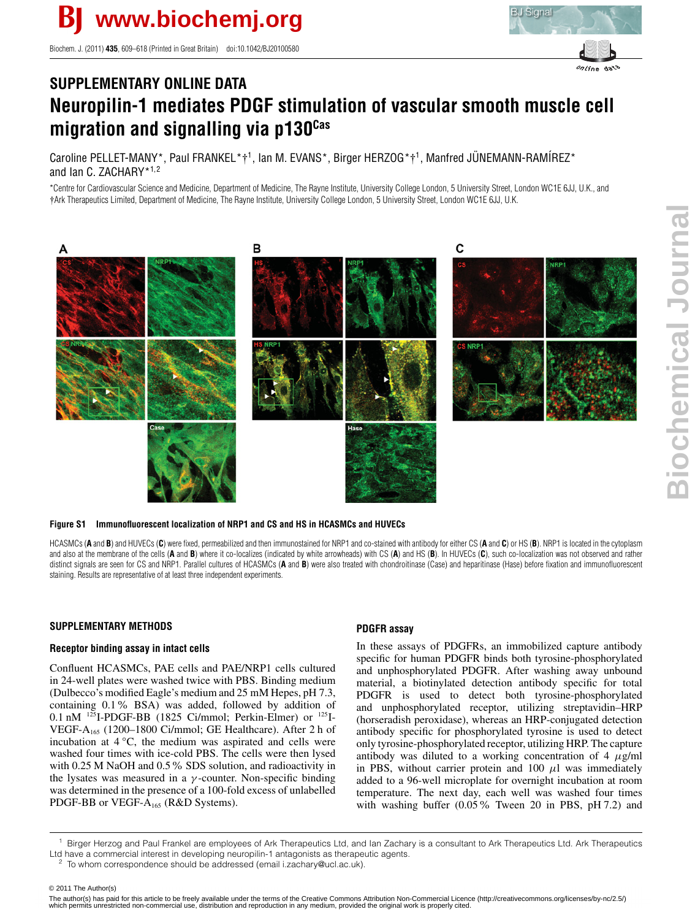Biochem. J. (2011) **435**, 609–618 (Printed in Great Britain) doi:10.1042/BJ20100580



# **SUPPLEMENTARY ONLINE DATA Neuropilin-1 mediates PDGF stimulation of vascular smooth muscle cell migration and signalling via p130Cas**

Caroline PELLET-MANY\*, Paul FRANKEL\*†<sup>1</sup>, Ian M. EVANS\*, Birger HERZOG\*†<sup>1</sup>, Manfred JÜNEMANN-RAMÍREZ\* and Ian C. ZACHARY\*1,2

\*Centre for Cardiovascular Science and Medicine, Department of Medicine, The Rayne Institute, University College London, 5 University Street, London WC1E 6JJ, U.K., and †Ark Therapeutics Limited, Department of Medicine, The Rayne Institute, University College London, 5 University Street, London WC1E 6JJ, U.K.



## **Figure S1 Immunofluorescent localization of NRP1 and CS and HS in HCASMCs and HUVECs**

HCASMCs (A and B) and HUVECs (C) were fixed, permeabilized and then immunostained for NRP1 and co-stained with antibody for either CS (A and C) or HS (B). NRP1 is located in the cytoplasm and also at the membrane of the cells (**A** and **B**) where it co-localizes (indicated by white arrowheads) with CS (**A**) and HS (**B**). In HUVECs (**C**), such co-localization was not observed and rather distinct signals are seen for CS and NRP1. Parallel cultures of HCASMCs (A and B) were also treated with chondroitinase (Case) and heparitinase (Hase) before fixation and immunofluorescent staining. Results are representative of at least three independent experiments.

## **SUPPLEMENTARY METHODS**

## **Receptor binding assay in intact cells**

Confluent HCASMCs, PAE cells and PAE/NRP1 cells cultured in 24-well plates were washed twice with PBS. Binding medium (Dulbecco's modified Eagle's medium and 25 mM Hepes, pH 7.3, containing 0.1% BSA) was added, followed by addition of 0.1 nM  $^{125}$ I-PDGF-BB (1825 Ci/mmol; Perkin-Elmer) or  $^{125}$ I-VEGF-A165 (1200–1800 Ci/mmol; GE Healthcare). After 2 h of incubation at 4 *◦*C, the medium was aspirated and cells were washed four times with ice-cold PBS. The cells were then lysed with 0.25 M NaOH and 0.5% SDS solution, and radioactivity in the lysates was measured in a  $\gamma$ -counter. Non-specific binding was determined in the presence of a 100-fold excess of unlabelled PDGF-BB or VEGF- $A_{165}$  (R&D Systems).

# **PDGFR assay**

In these assays of PDGFRs, an immobilized capture antibody specific for human PDGFR binds both tyrosine-phosphorylated and unphosphorylated PDGFR. After washing away unbound material, a biotinylated detection antibody specific for total PDGFR is used to detect both tyrosine-phosphorylated and unphosphorylated receptor, utilizing streptavidin–HRP (horseradish peroxidase), whereas an HRP-conjugated detection antibody specific for phosphorylated tyrosine is used to detect only tyrosine-phosphorylated receptor, utilizing HRP. The capture antibody was diluted to a working concentration of 4  $\mu$ g/ml in PBS, without carrier protein and 100  $\mu$ l was immediately added to a 96-well microplate for overnight incubation at room temperature. The next day, each well was washed four times with washing buffer (0.05% Tween 20 in PBS, pH 7.2) and

<sup>1</sup> Birger Herzog and Paul Frankel are employees of Ark Therapeutics Ltd, and Ian Zachary is a consultant to Ark Therapeutics Ltd. Ark Therapeutics Ltd have a commercial interest in developing neuropilin-1 antagonists as therapeutic agents.

© 2011 The Author(s)

© 2011 The Author(s)<br>The author(s) has paid for this article to be freely available under the terms of the Creative Commons Attribution Non-Commercial Licence (http://creativecommons.org/licenses/by-nc/2.5/) which permits unrestricted non-commercial use, distribution and reproduction in any medium, provided the original work is properly cited.

To whom correspondence should be addressed (email i.zachary@ucl.ac.uk).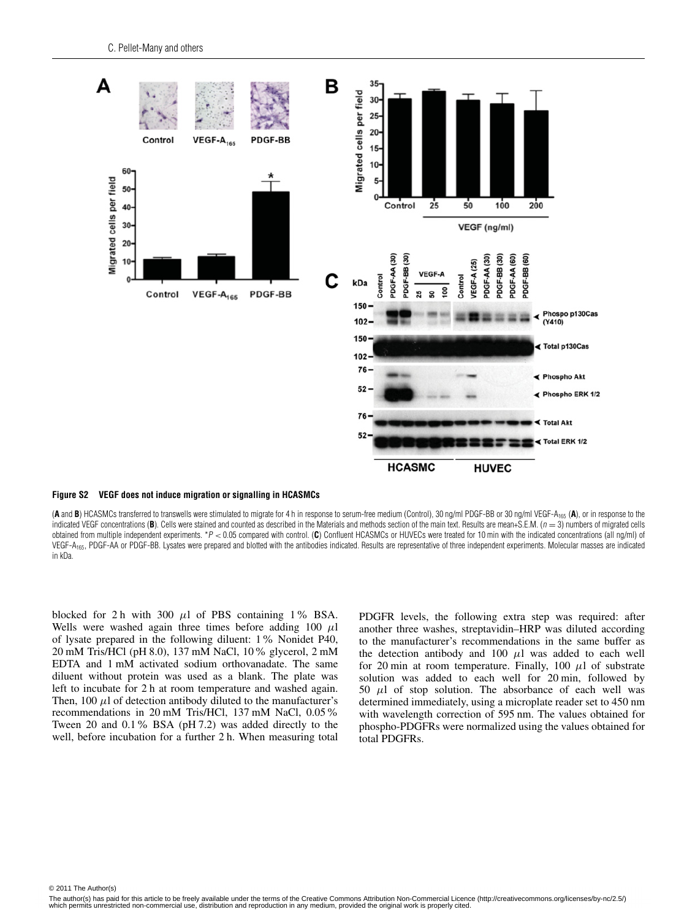

#### **Figure S2 VEGF does not induce migration or signalling in HCASMCs**

(A and B) HCASMCs transferred to transwells were stimulated to migrate for 4 h in response to serum-free medium (Control), 30 ng/ml PDGF-BB or 30 ng/ml VEGF-A<sub>165</sub> (A), or in response to the indicated VEGF concentrations (B). Cells were stained and counted as described in the Materials and methods section of the main text. Results are mean+S.E.M. ( $n = 3$ ) numbers of migrated cells obtained from multiple independent experiments. \*P < 0.05 compared with control. (C) Confluent HCASMCs or HUVECs were treated for 10 min with the indicated concentrations (all ng/ml) of VEGF-A<sub>165</sub>, PDGF-AA or PDGF-BB. Lysates were prepared and blotted with the antibodies indicated. Results are representative of three independent experiments. Molecular masses are indicated in kDa.

blocked for 2 h with 300  $\mu$ l of PBS containing 1% BSA. Wells were washed again three times before adding 100  $\mu$ l of lysate prepared in the following diluent: 1% Nonidet P40, 20 mM Tris/HCl (pH 8.0), 137 mM NaCl, 10% glycerol, 2 mM EDTA and 1 mM activated sodium orthovanadate. The same diluent without protein was used as a blank. The plate was left to incubate for 2 h at room temperature and washed again. Then, 100  $\mu$ l of detection antibody diluted to the manufacturer's recommendations in 20 mM Tris/HCl, 137 mM NaCl, 0.05% Tween 20 and 0.1% BSA (pH 7.2) was added directly to the well, before incubation for a further 2 h. When measuring total PDGFR levels, the following extra step was required: after another three washes, streptavidin–HRP was diluted according to the manufacturer's recommendations in the same buffer as the detection antibody and 100  $\mu$ l was added to each well for 20 min at room temperature. Finally, 100  $\mu$ l of substrate solution was added to each well for 20 min, followed by 50  $\mu$ l of stop solution. The absorbance of each well was determined immediately, using a microplate reader set to 450 nm with wavelength correction of 595 nm. The values obtained for phospho-PDGFRs were normalized using the values obtained for total PDGFRs.

© 2011 The Author(s)<br>The Collection of the Author(s) of the Author(s) and the Author(s)

The author(s) has paid for this article to be freely available under the terms of the Creative Commons Attribution Non-Commercial Licence (http://creativecommons.org/licenses/by-nc/2.5/) which permits unrestricted non-commercial use, distribution and reproduction in any medium, provided the original work is properly cited.